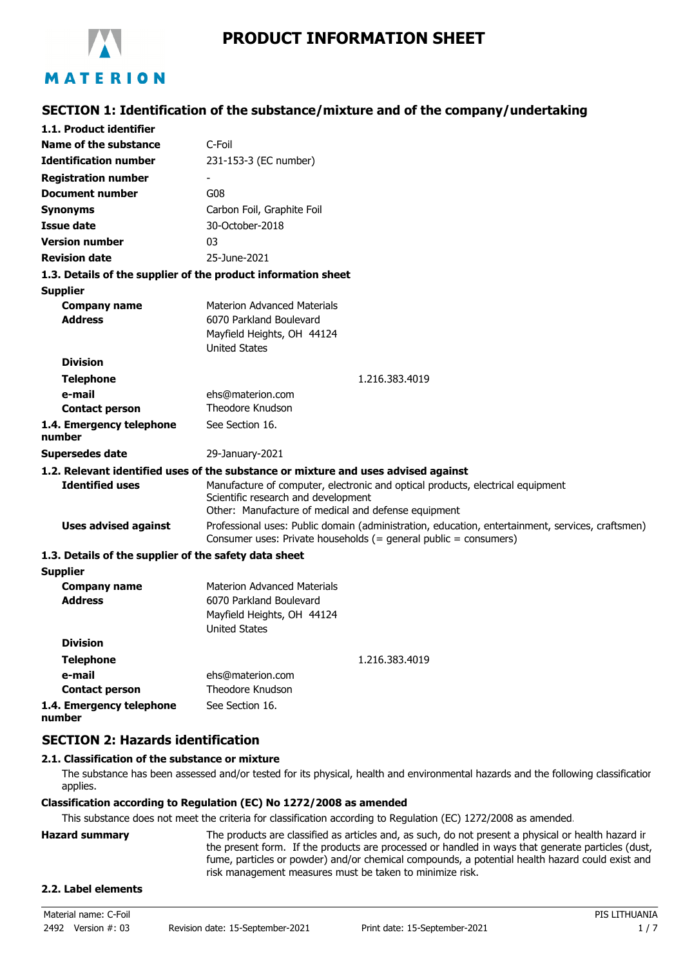

**SECTION 1: Identification of the substance/mixture and of the company/undertaking**

| 1.1. Product identifier                               |                                                                                                                                                                              |  |  |
|-------------------------------------------------------|------------------------------------------------------------------------------------------------------------------------------------------------------------------------------|--|--|
| Name of the substance                                 | C-Foil                                                                                                                                                                       |  |  |
| <b>Identification number</b>                          | 231-153-3 (EC number)                                                                                                                                                        |  |  |
| <b>Registration number</b>                            |                                                                                                                                                                              |  |  |
| <b>Document number</b>                                | G08                                                                                                                                                                          |  |  |
| <b>Synonyms</b>                                       | Carbon Foil, Graphite Foil                                                                                                                                                   |  |  |
| <b>Issue date</b>                                     | 30-October-2018                                                                                                                                                              |  |  |
| <b>Version number</b>                                 | 03                                                                                                                                                                           |  |  |
| <b>Revision date</b>                                  | 25-June-2021                                                                                                                                                                 |  |  |
|                                                       | 1.3. Details of the supplier of the product information sheet                                                                                                                |  |  |
| Supplier                                              |                                                                                                                                                                              |  |  |
| <b>Company name</b><br><b>Address</b>                 | <b>Materion Advanced Materials</b><br>6070 Parkland Boulevard<br>Mayfield Heights, OH 44124<br><b>United States</b>                                                          |  |  |
| <b>Division</b>                                       |                                                                                                                                                                              |  |  |
| <b>Telephone</b>                                      | 1.216.383.4019                                                                                                                                                               |  |  |
| e-mail<br><b>Contact person</b>                       | ehs@materion.com<br>Theodore Knudson                                                                                                                                         |  |  |
| 1.4. Emergency telephone<br>number                    | See Section 16.                                                                                                                                                              |  |  |
| <b>Supersedes date</b>                                | 29-January-2021                                                                                                                                                              |  |  |
|                                                       | 1.2. Relevant identified uses of the substance or mixture and uses advised against                                                                                           |  |  |
| <b>Identified uses</b>                                | Manufacture of computer, electronic and optical products, electrical equipment<br>Scientific research and development<br>Other: Manufacture of medical and defense equipment |  |  |
| <b>Uses advised against</b>                           | Professional uses: Public domain (administration, education, entertainment, services, craftsmen)<br>Consumer uses: Private households $(=$ general public = consumers)       |  |  |
| 1.3. Details of the supplier of the safety data sheet |                                                                                                                                                                              |  |  |
| <b>Supplier</b>                                       |                                                                                                                                                                              |  |  |
| <b>Company name</b><br><b>Address</b>                 | <b>Materion Advanced Materials</b><br>6070 Parkland Boulevard<br>Mayfield Heights, OH 44124<br><b>United States</b>                                                          |  |  |
| <b>Division</b>                                       |                                                                                                                                                                              |  |  |
| <b>Telephone</b>                                      | 1.216.383.4019                                                                                                                                                               |  |  |
| e-mail                                                | ehs@materion.com                                                                                                                                                             |  |  |
| <b>Contact person</b>                                 | <b>Theodore Knudson</b>                                                                                                                                                      |  |  |
| 1.4. Emergency telephone<br>number                    | See Section 16.                                                                                                                                                              |  |  |

## **SECTION 2: Hazards identification**

## **2.1. Classification of the substance or mixture**

The substance has been assessed and/or tested for its physical, health and environmental hazards and the following classification applies.

#### **Classification according to Regulation (EC) No 1272/2008 as amended**

This substance does not meet the criteria for classification according to Regulation (EC) 1272/2008 as amended.

| Hazard summarv | The products are classified as articles and, as such, do not present a physical or health hazard ir |
|----------------|-----------------------------------------------------------------------------------------------------|
|                | the present form. If the products are processed or handled in ways that generate particles (dust,   |
|                | fume, particles or powder) and/or chemical compounds, a potential health hazard could exist and     |
|                | risk management measures must be taken to minimize risk.                                            |
|                |                                                                                                     |

#### **2.2. Label elements**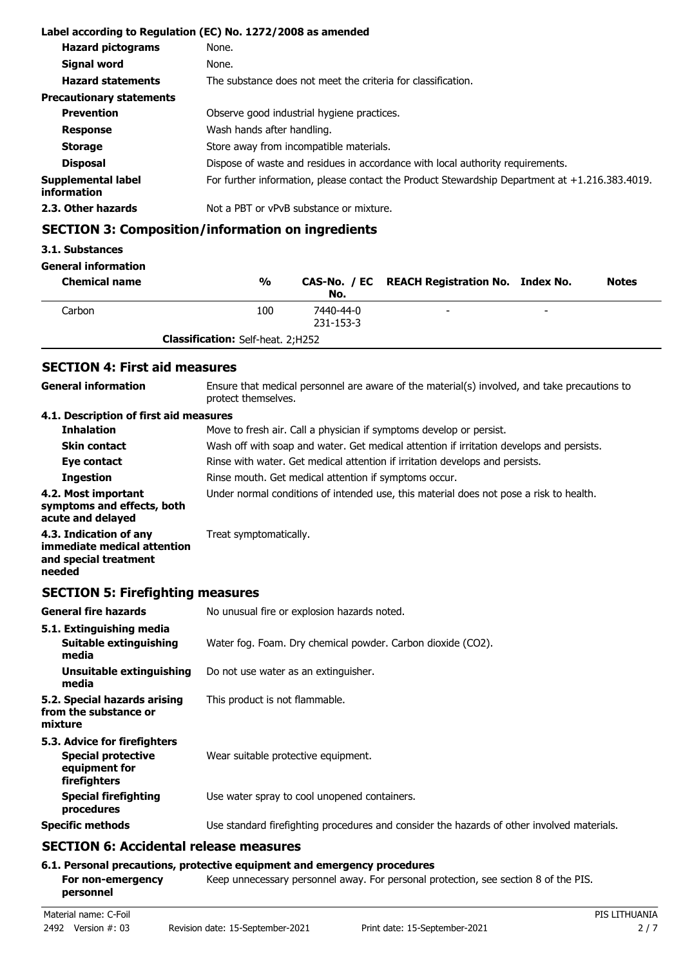| Label according to Regulation (EC) No. 1272/2008 as amended |                                                                                                   |  |  |
|-------------------------------------------------------------|---------------------------------------------------------------------------------------------------|--|--|
| <b>Hazard pictograms</b>                                    | None.                                                                                             |  |  |
| Signal word                                                 | None.                                                                                             |  |  |
| <b>Hazard statements</b>                                    | The substance does not meet the criteria for classification.                                      |  |  |
| <b>Precautionary statements</b>                             |                                                                                                   |  |  |
| <b>Prevention</b>                                           | Observe good industrial hygiene practices.                                                        |  |  |
| <b>Response</b>                                             | Wash hands after handling.                                                                        |  |  |
| <b>Storage</b>                                              | Store away from incompatible materials.                                                           |  |  |
| <b>Disposal</b>                                             | Dispose of waste and residues in accordance with local authority requirements.                    |  |  |
| Supplemental label<br>information                           | For further information, please contact the Product Stewardship Department at $+1.216.383.4019$ . |  |  |
| 2.3. Other hazards                                          | Not a PBT or vPvB substance or mixture.                                                           |  |  |

## **SECTION 3: Composition/information on ingredients**

#### **3.1. Substances**

## **General information**

| <b>Chemical name</b> | $\frac{0}{0}$                            | No.                    | CAS-No. / EC REACH Registration No. Index No. |                          | <b>Notes</b> |
|----------------------|------------------------------------------|------------------------|-----------------------------------------------|--------------------------|--------------|
| Carbon               | 100                                      | 7440-44-0<br>231-153-3 | $\overline{\phantom{0}}$                      | $\overline{\phantom{a}}$ |              |
|                      | <b>Classification:</b> Self-heat. 2;H252 |                        |                                               |                          |              |

## **SECTION 4: First aid measures**

| <b>General information</b>                                                               | Ensure that medical personnel are aware of the material(s) involved, and take precautions to<br>protect themselves. |  |  |
|------------------------------------------------------------------------------------------|---------------------------------------------------------------------------------------------------------------------|--|--|
| 4.1. Description of first aid measures                                                   |                                                                                                                     |  |  |
| <b>Inhalation</b>                                                                        | Move to fresh air. Call a physician if symptoms develop or persist.                                                 |  |  |
| <b>Skin contact</b>                                                                      | Wash off with soap and water. Get medical attention if irritation develops and persists.                            |  |  |
| Eye contact                                                                              | Rinse with water. Get medical attention if irritation develops and persists.                                        |  |  |
| <b>Ingestion</b>                                                                         | Rinse mouth. Get medical attention if symptoms occur.                                                               |  |  |
| 4.2. Most important<br>symptoms and effects, both<br>acute and delayed                   | Under normal conditions of intended use, this material does not pose a risk to health.                              |  |  |
| 4.3. Indication of any<br>immediate medical attention<br>and special treatment<br>needed | Treat symptomatically.                                                                                              |  |  |

## **SECTION 5: Firefighting measures**

| <b>General fire hazards</b>                                                                | No unusual fire or explosion hazards noted.                                                |
|--------------------------------------------------------------------------------------------|--------------------------------------------------------------------------------------------|
| 5.1. Extinguishing media<br>Suitable extinguishing<br>media                                | Water fog. Foam. Dry chemical powder. Carbon dioxide (CO2).                                |
| Unsuitable extinguishing<br>media                                                          | Do not use water as an extinguisher.                                                       |
| 5.2. Special hazards arising<br>from the substance or<br>mixture                           | This product is not flammable.                                                             |
| 5.3. Advice for firefighters<br><b>Special protective</b><br>equipment for<br>firefighters | Wear suitable protective equipment.                                                        |
| <b>Special firefighting</b><br>procedures                                                  | Use water spray to cool unopened containers.                                               |
| <b>Specific methods</b>                                                                    | Use standard firefighting procedures and consider the hazards of other involved materials. |
| CECTION C. Assidentel volaces massives                                                     |                                                                                            |

## **SECTION 6: Accidental release measures**

## **6.1. Personal precautions, protective equipment and emergency procedures**

For non-emergency **Keep unnecessary personnel away. For personal protection, see section 8 of the PIS. personnel**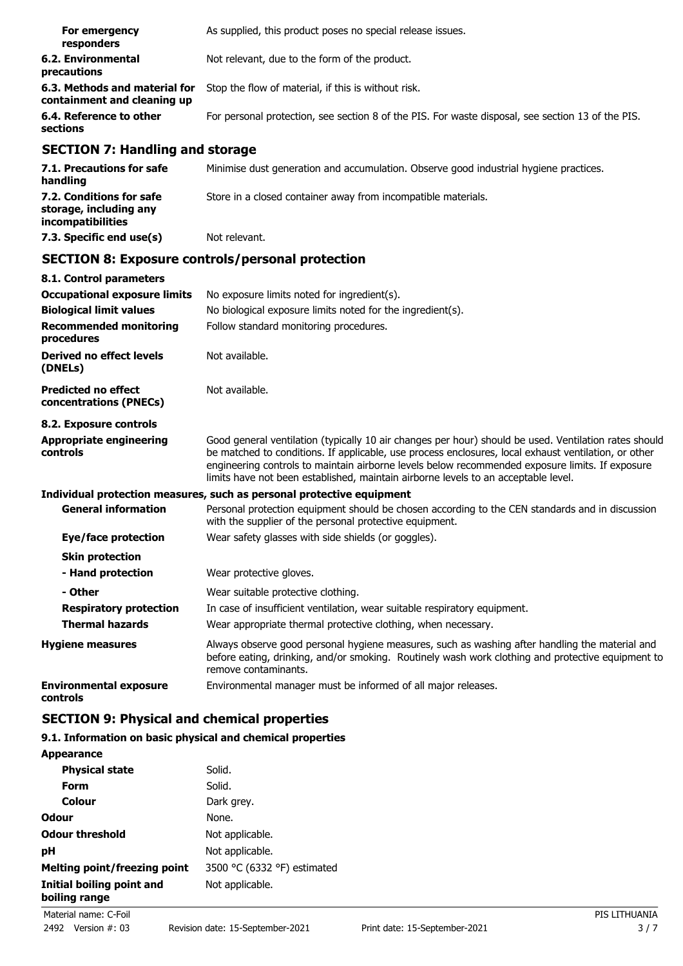| For emergency<br>responders                                  | As supplied, this product poses no special release issues.                                        |
|--------------------------------------------------------------|---------------------------------------------------------------------------------------------------|
| 6.2. Environmental<br>precautions                            | Not relevant, due to the form of the product.                                                     |
| 6.3. Methods and material for<br>containment and cleaning up | Stop the flow of material, if this is without risk.                                               |
| 6.4. Reference to other<br>sections                          | For personal protection, see section 8 of the PIS. For waste disposal, see section 13 of the PIS. |

## **SECTION 7: Handling and storage**

| 7.1. Precautions for safe<br>handling                                   | Minimise dust generation and accumulation. Observe good industrial hygiene practices. |
|-------------------------------------------------------------------------|---------------------------------------------------------------------------------------|
| 7.2. Conditions for safe<br>storage, including any<br>incompatibilities | Store in a closed container away from incompatible materials.                         |
| 7.3. Specific end use(s)                                                | Not relevant.                                                                         |

# **SECTION 8: Exposure controls/personal protection**

| 8.1. Control parameters                              |                                                                                                                                                                                                                                                                                                                                                                                                        |  |  |
|------------------------------------------------------|--------------------------------------------------------------------------------------------------------------------------------------------------------------------------------------------------------------------------------------------------------------------------------------------------------------------------------------------------------------------------------------------------------|--|--|
| <b>Occupational exposure limits</b>                  | No exposure limits noted for ingredient(s).                                                                                                                                                                                                                                                                                                                                                            |  |  |
| <b>Biological limit values</b>                       | No biological exposure limits noted for the ingredient(s).                                                                                                                                                                                                                                                                                                                                             |  |  |
| <b>Recommended monitoring</b><br>procedures          | Follow standard monitoring procedures.                                                                                                                                                                                                                                                                                                                                                                 |  |  |
| <b>Derived no effect levels</b><br>(DNELs)           | Not available.                                                                                                                                                                                                                                                                                                                                                                                         |  |  |
| <b>Predicted no effect</b><br>concentrations (PNECs) | Not available.                                                                                                                                                                                                                                                                                                                                                                                         |  |  |
| 8.2. Exposure controls                               |                                                                                                                                                                                                                                                                                                                                                                                                        |  |  |
| <b>Appropriate engineering</b><br>controls           | Good general ventilation (typically 10 air changes per hour) should be used. Ventilation rates should<br>be matched to conditions. If applicable, use process enclosures, local exhaust ventilation, or other<br>engineering controls to maintain airborne levels below recommended exposure limits. If exposure<br>limits have not been established, maintain airborne levels to an acceptable level. |  |  |
|                                                      | Individual protection measures, such as personal protective equipment                                                                                                                                                                                                                                                                                                                                  |  |  |
| <b>General information</b>                           | Personal protection equipment should be chosen according to the CEN standards and in discussion<br>with the supplier of the personal protective equipment.                                                                                                                                                                                                                                             |  |  |
| Eye/face protection                                  | Wear safety glasses with side shields (or goggles).                                                                                                                                                                                                                                                                                                                                                    |  |  |
| <b>Skin protection</b>                               |                                                                                                                                                                                                                                                                                                                                                                                                        |  |  |
| - Hand protection                                    | Wear protective gloves.                                                                                                                                                                                                                                                                                                                                                                                |  |  |
| - Other                                              | Wear suitable protective clothing.                                                                                                                                                                                                                                                                                                                                                                     |  |  |
| <b>Respiratory protection</b>                        | In case of insufficient ventilation, wear suitable respiratory equipment.                                                                                                                                                                                                                                                                                                                              |  |  |
| <b>Thermal hazards</b>                               | Wear appropriate thermal protective clothing, when necessary.                                                                                                                                                                                                                                                                                                                                          |  |  |
| <b>Hygiene measures</b>                              | Always observe good personal hygiene measures, such as washing after handling the material and<br>before eating, drinking, and/or smoking. Routinely wash work clothing and protective equipment to<br>remove contaminants.                                                                                                                                                                            |  |  |
| <b>Environmental exposure</b><br>controls            | Environmental manager must be informed of all major releases.                                                                                                                                                                                                                                                                                                                                          |  |  |

## **SECTION 9: Physical and chemical properties**

## **9.1. Information on basic physical and chemical properties**

| <b>Appearance</b>                          |                             |
|--------------------------------------------|-----------------------------|
| <b>Physical state</b>                      | Solid.                      |
| Form                                       | Solid.                      |
| Colour                                     | Dark grey.                  |
| Odour                                      | None.                       |
| <b>Odour threshold</b>                     | Not applicable.             |
| рH                                         | Not applicable.             |
| Melting point/freezing point               | 3500 °C (6332 °F) estimated |
| Initial boiling point and<br>boiling range | Not applicable.             |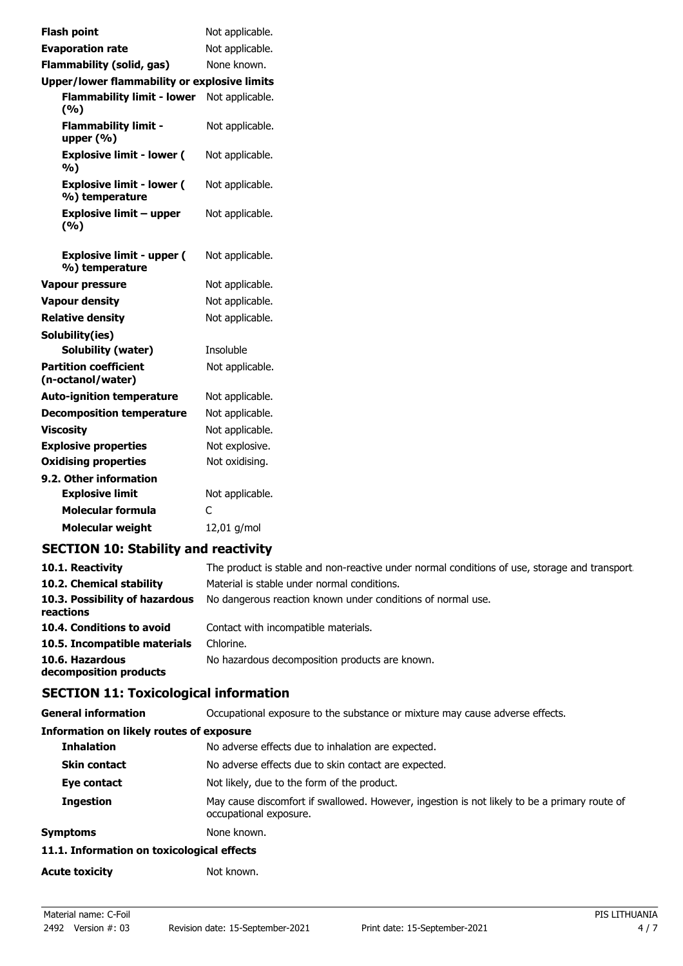| <b>Flash point</b>                                 | Not applicable. |
|----------------------------------------------------|-----------------|
| <b>Evaporation rate</b>                            | Not applicable. |
| <b>Flammability (solid, gas)</b>                   | None known.     |
| Upper/lower flammability or explosive limits       |                 |
| <b>Flammability limit - lower</b>                  | Not applicable. |
| (%)                                                |                 |
| <b>Flammability limit -</b><br>upper $(% )$        | Not applicable. |
| <b>Explosive limit - lower (</b><br>%)             | Not applicable. |
| <b>Explosive limit - lower (</b><br>%) temperature | Not applicable. |
| <b>Explosive limit - upper</b><br>(9/6)            | Not applicable. |
| <b>Explosive limit - upper (</b><br>%) temperature | Not applicable. |
| Vapour pressure                                    | Not applicable. |
| <b>Vapour density</b>                              | Not applicable. |
| <b>Relative density</b>                            | Not applicable. |
| Solubility(ies)                                    |                 |
| <b>Solubility (water)</b>                          | Insoluble       |
| <b>Partition coefficient</b><br>(n-octanol/water)  | Not applicable. |
| <b>Auto-ignition temperature</b>                   | Not applicable. |
| <b>Decomposition temperature</b>                   | Not applicable. |
| <b>Viscosity</b>                                   | Not applicable. |
| <b>Explosive properties</b>                        | Not explosive.  |
| <b>Oxidising properties</b>                        | Not oxidising.  |
| 9.2. Other information                             |                 |
| <b>Explosive limit</b>                             | Not applicable. |
| <b>Molecular formula</b>                           | C               |
| <b>Molecular weight</b>                            | 12,01 g/mol     |
|                                                    |                 |

# **SECTION 10: Stability and reactivity**

| 10.1. Reactivity                            | The product is stable and non-reactive under normal conditions of use, storage and transport. |
|---------------------------------------------|-----------------------------------------------------------------------------------------------|
| 10.2. Chemical stability                    | Material is stable under normal conditions.                                                   |
| 10.3. Possibility of hazardous<br>reactions | No dangerous reaction known under conditions of normal use.                                   |
| 10.4. Conditions to avoid                   | Contact with incompatible materials.                                                          |
| 10.5. Incompatible materials                | Chlorine.                                                                                     |
| 10.6. Hazardous<br>decomposition products   | No hazardous decomposition products are known.                                                |

# **SECTION 11: Toxicological information**

| <b>General information</b>                      | Occupational exposure to the substance or mixture may cause adverse effects.                                           |
|-------------------------------------------------|------------------------------------------------------------------------------------------------------------------------|
| <b>Information on likely routes of exposure</b> |                                                                                                                        |
| <b>Inhalation</b>                               | No adverse effects due to inhalation are expected.                                                                     |
| <b>Skin contact</b>                             | No adverse effects due to skin contact are expected.                                                                   |
| Eye contact                                     | Not likely, due to the form of the product.                                                                            |
| <b>Ingestion</b>                                | May cause discomfort if swallowed. However, ingestion is not likely to be a primary route of<br>occupational exposure. |
| Symptoms                                        | None known.                                                                                                            |
| 11.1. Information on toxicological effects      |                                                                                                                        |
| <b>Acute toxicity</b>                           | Not known.                                                                                                             |
|                                                 |                                                                                                                        |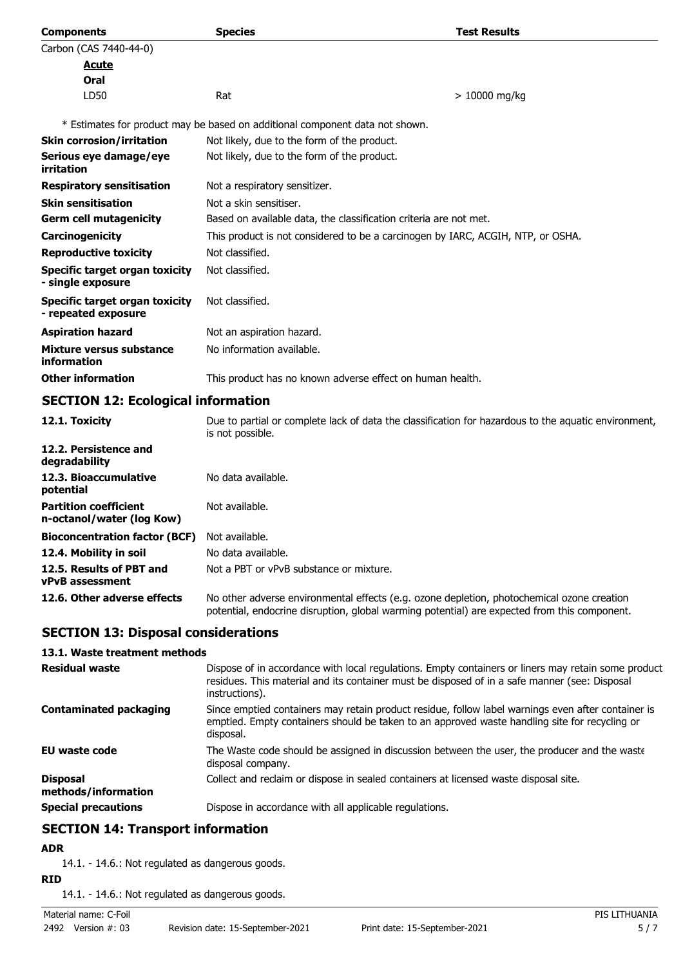| <b>Components</b>                                          | <b>Species</b>                                                                  | <b>Test Results</b> |
|------------------------------------------------------------|---------------------------------------------------------------------------------|---------------------|
| Carbon (CAS 7440-44-0)                                     |                                                                                 |                     |
| Acute                                                      |                                                                                 |                     |
| Oral                                                       |                                                                                 |                     |
| LD50                                                       | Rat                                                                             | $> 10000$ mg/kg     |
|                                                            | * Estimates for product may be based on additional component data not shown.    |                     |
| <b>Skin corrosion/irritation</b>                           | Not likely, due to the form of the product.                                     |                     |
| Serious eye damage/eye<br>irritation                       | Not likely, due to the form of the product.                                     |                     |
| <b>Respiratory sensitisation</b>                           | Not a respiratory sensitizer.                                                   |                     |
| <b>Skin sensitisation</b>                                  | Not a skin sensitiser.                                                          |                     |
| <b>Germ cell mutagenicity</b>                              | Based on available data, the classification criteria are not met.               |                     |
| Carcinogenicity                                            | This product is not considered to be a carcinogen by IARC, ACGIH, NTP, or OSHA. |                     |
| <b>Reproductive toxicity</b>                               | Not classified.                                                                 |                     |
| <b>Specific target organ toxicity</b><br>- single exposure | Not classified.                                                                 |                     |
| Specific target organ toxicity<br>- repeated exposure      | Not classified.                                                                 |                     |
| <b>Aspiration hazard</b>                                   | Not an aspiration hazard.                                                       |                     |
| Mixture versus substance<br>information                    | No information available.                                                       |                     |
| <b>Other information</b>                                   | This product has no known adverse effect on human health.                       |                     |

## **SECTION 12: Ecological information**

| 12.1. Toxicity                                            | Due to partial or complete lack of data the classification for hazardous to the aquatic environment,<br>is not possible.                                                                   |
|-----------------------------------------------------------|--------------------------------------------------------------------------------------------------------------------------------------------------------------------------------------------|
| 12.2. Persistence and<br>degradability                    |                                                                                                                                                                                            |
| 12.3. Bioaccumulative<br>potential                        | No data available.                                                                                                                                                                         |
| <b>Partition coefficient</b><br>n-octanol/water (log Kow) | Not available.                                                                                                                                                                             |
| <b>Bioconcentration factor (BCF)</b>                      | Not available.                                                                                                                                                                             |
| 12.4. Mobility in soil                                    | No data available.                                                                                                                                                                         |
| 12.5. Results of PBT and<br><b>vPvB</b> assessment        | Not a PBT or vPvB substance or mixture.                                                                                                                                                    |
| 12.6. Other adverse effects                               | No other adverse environmental effects (e.g. ozone depletion, photochemical ozone creation<br>potential, endocrine disruption, global warming potential) are expected from this component. |

## **SECTION 13: Disposal considerations**

## **13.1. Waste treatment methods**

| <b>Residual waste</b>                  | Dispose of in accordance with local regulations. Empty containers or liners may retain some product<br>residues. This material and its container must be disposed of in a safe manner (see: Disposal<br>instructions). |
|----------------------------------------|------------------------------------------------------------------------------------------------------------------------------------------------------------------------------------------------------------------------|
| <b>Contaminated packaging</b>          | Since emptied containers may retain product residue, follow label warnings even after container is<br>emptied. Empty containers should be taken to an approved waste handling site for recycling or<br>disposal.       |
| <b>EU waste code</b>                   | The Waste code should be assigned in discussion between the user, the producer and the waste<br>disposal company.                                                                                                      |
| <b>Disposal</b><br>methods/information | Collect and reclaim or dispose in sealed containers at licensed waste disposal site.                                                                                                                                   |
| <b>Special precautions</b>             | Dispose in accordance with all applicable regulations.                                                                                                                                                                 |

## **SECTION 14: Transport information**

## **ADR**

14.1. - 14.6.: Not regulated as dangerous goods.

**RID**

14.1. - 14.6.: Not regulated as dangerous goods.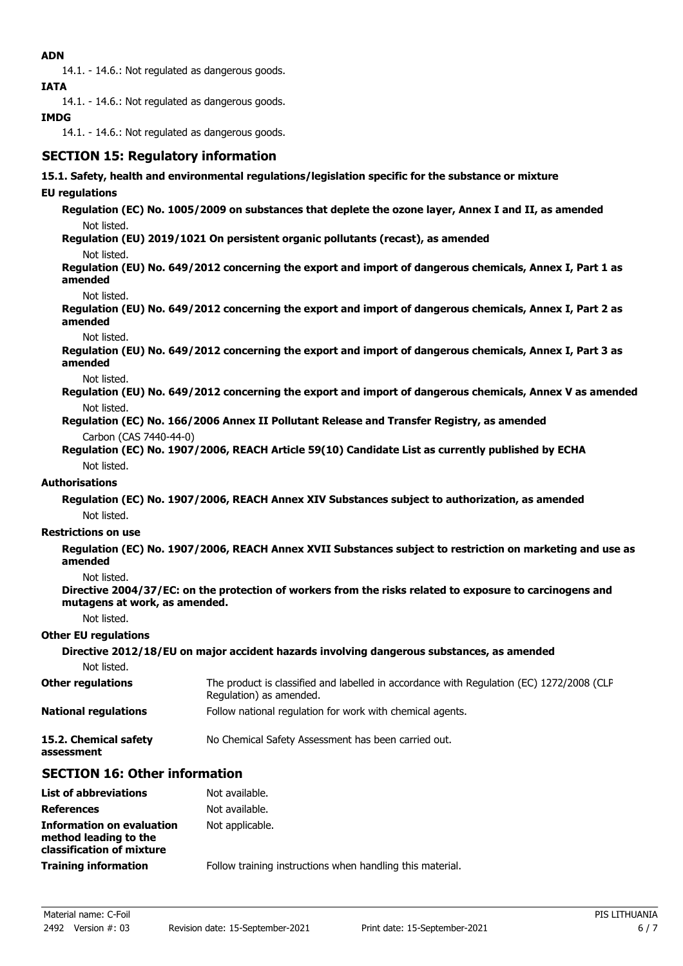## **ADN**

14.1. - 14.6.: Not regulated as dangerous goods.

**IATA**

14.1. - 14.6.: Not regulated as dangerous goods.

## **IMDG**

14.1. - 14.6.: Not regulated as dangerous goods.

## **SECTION 15: Regulatory information**

### **15.1. Safety, health and environmental regulations/legislation specific for the substance or mixture**

## **EU regulations**

**Regulation (EC) No. 1005/2009 on substances that deplete the ozone layer, Annex I and II, as amended** Not listed.

**Regulation (EU) 2019/1021 On persistent organic pollutants (recast), as amended**

Not listed.

**Regulation (EU) No. 649/2012 concerning the export and import of dangerous chemicals, Annex I, Part 1 as amended**

Not listed.

**Regulation (EU) No. 649/2012 concerning the export and import of dangerous chemicals, Annex I, Part 2 as amended**

Not listed.

**Regulation (EU) No. 649/2012 concerning the export and import of dangerous chemicals, Annex I, Part 3 as amended**

Not listed.

**Regulation (EU) No. 649/2012 concerning the export and import of dangerous chemicals, Annex V as amended** Not listed.

**Regulation (EC) No. 166/2006 Annex II Pollutant Release and Transfer Registry, as amended** Carbon (CAS 7440-44-0)

**Regulation (EC) No. 1907/2006, REACH Article 59(10) Candidate List as currently published by ECHA** Not listed.

### **Authorisations**

**Regulation (EC) No. 1907/2006, REACH Annex XIV Substances subject to authorization, as amended** Not listed.

#### **Restrictions on use**

**Regulation (EC) No. 1907/2006, REACH Annex XVII Substances subject to restriction on marketing and use as amended**

Not listed.

**Directive 2004/37/EC: on the protection of workers from the risks related to exposure to carcinogens and mutagens at work, as amended.**

Not listed.

#### **Other EU regulations**

| Directive 2012/18/EU on major accident hazards involving dangerous substances, as amended |                                                                                                                     |  |
|-------------------------------------------------------------------------------------------|---------------------------------------------------------------------------------------------------------------------|--|
| Not listed.                                                                               |                                                                                                                     |  |
| <b>Other regulations</b>                                                                  | The product is classified and labelled in accordance with Regulation (EC) 1272/2008 (CLP<br>Regulation) as amended. |  |
| <b>National regulations</b>                                                               | Follow national regulation for work with chemical agents.                                                           |  |
| 15.2. Chemical safety<br>assessment                                                       | No Chemical Safety Assessment has been carried out.                                                                 |  |

## **SECTION 16: Other information**

| <b>List of abbreviations</b>                                                           | Not available.                                            |
|----------------------------------------------------------------------------------------|-----------------------------------------------------------|
| <b>References</b>                                                                      | Not available.                                            |
| <b>Information on evaluation</b><br>method leading to the<br>classification of mixture | Not applicable.                                           |
| <b>Training information</b>                                                            | Follow training instructions when handling this material. |